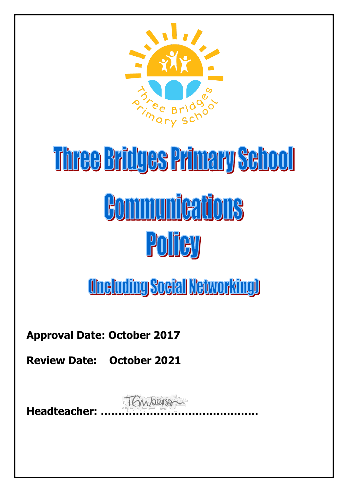

# Three Bridges Primary School **Communications** Policy

**Uneluding Soeial Networking)** 

**Approval Date: October 2017**

**Review Date: October 2021**

**Headteacher: ………………………………………**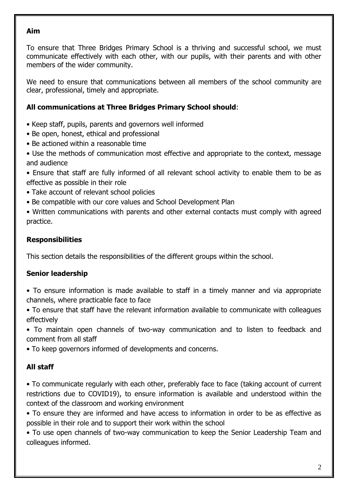#### **Aim**

To ensure that Three Bridges Primary School is a thriving and successful school, we must communicate effectively with each other, with our pupils, with their parents and with other members of the wider community.

We need to ensure that communications between all members of the school community are clear, professional, timely and appropriate.

#### **All communications at Three Bridges Primary School should**:

- Keep staff, pupils, parents and governors well informed
- Be open, honest, ethical and professional
- Be actioned within a reasonable time
- Use the methods of communication most effective and appropriate to the context, message and audience
- Ensure that staff are fully informed of all relevant school activity to enable them to be as effective as possible in their role
- Take account of relevant school policies
- Be compatible with our core values and School Development Plan
- Written communications with parents and other external contacts must comply with agreed practice.

#### **Responsibilities**

This section details the responsibilities of the different groups within the school.

#### **Senior leadership**

- To ensure information is made available to staff in a timely manner and via appropriate channels, where practicable face to face
- To ensure that staff have the relevant information available to communicate with colleagues effectively
- To maintain open channels of two-way communication and to listen to feedback and comment from all staff
- To keep governors informed of developments and concerns.

## **All staff**

• To communicate regularly with each other, preferably face to face (taking account of current restrictions due to COVID19), to ensure information is available and understood within the context of the classroom and working environment

• To ensure they are informed and have access to information in order to be as effective as possible in their role and to support their work within the school

• To use open channels of two-way communication to keep the Senior Leadership Team and colleagues informed.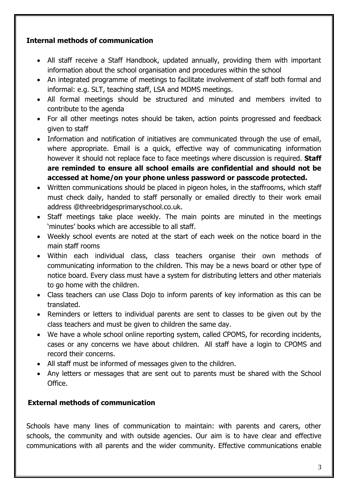## **Internal methods of communication**

- All staff receive a Staff Handbook, updated annually, providing them with important information about the school organisation and procedures within the school
- An integrated programme of meetings to facilitate involvement of staff both formal and informal: e.g. SLT, teaching staff, LSA and MDMS meetings.
- All formal meetings should be structured and minuted and members invited to contribute to the agenda
- For all other meetings notes should be taken, action points progressed and feedback given to staff
- Information and notification of initiatives are communicated through the use of email, where appropriate. Email is a quick, effective way of communicating information however it should not replace face to face meetings where discussion is required. **Staff are reminded to ensure all school emails are confidential and should not be accessed at home/on your phone unless password or passcode protected.**
- Written communications should be placed in pigeon holes, in the staffrooms, which staff must check daily, handed to staff personally or emailed directly to their work email address @threebridgesprimaryschool.co.uk.
- Staff meetings take place weekly. The main points are minuted in the meetings 'minutes' books which are accessible to all staff.
- Weekly school events are noted at the start of each week on the notice board in the main staff rooms
- Within each individual class, class teachers organise their own methods of communicating information to the children. This may be a news board or other type of notice board. Every class must have a system for distributing letters and other materials to go home with the children.
- Class teachers can use Class Dojo to inform parents of key information as this can be translated.
- Reminders or letters to individual parents are sent to classes to be given out by the class teachers and must be given to children the same day.
- We have a whole school online reporting system, called CPOMS, for recording incidents, cases or any concerns we have about children. All staff have a login to CPOMS and record their concerns.
- All staff must be informed of messages given to the children.
- Any letters or messages that are sent out to parents must be shared with the School Office.

# **External methods of communication**

Schools have many lines of communication to maintain: with parents and carers, other schools, the community and with outside agencies. Our aim is to have clear and effective communications with all parents and the wider community. Effective communications enable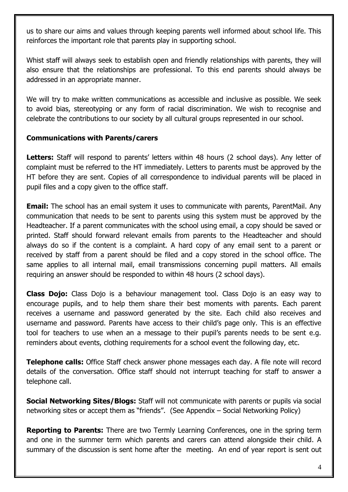us to share our aims and values through keeping parents well informed about school life. This reinforces the important role that parents play in supporting school.

Whist staff will always seek to establish open and friendly relationships with parents, they will also ensure that the relationships are professional. To this end parents should always be addressed in an appropriate manner.

We will try to make written communications as accessible and inclusive as possible. We seek to avoid bias, stereotyping or any form of racial discrimination. We wish to recognise and celebrate the contributions to our society by all cultural groups represented in our school.

## **Communications with Parents/carers**

**Letters:** Staff will respond to parents' letters within 48 hours (2 school days). Any letter of complaint must be referred to the HT immediately. Letters to parents must be approved by the HT before they are sent. Copies of all correspondence to individual parents will be placed in pupil files and a copy given to the office staff.

**Email:** The school has an email system it uses to communicate with parents, ParentMail. Any communication that needs to be sent to parents using this system must be approved by the Headteacher. If a parent communicates with the school using email, a copy should be saved or printed. Staff should forward relevant emails from parents to the Headteacher and should always do so if the content is a complaint. A hard copy of any email sent to a parent or received by staff from a parent should be filed and a copy stored in the school office. The same applies to all internal mail, email transmissions concerning pupil matters. All emails requiring an answer should be responded to within 48 hours (2 school days).

**Class Dojo:** Class Dojo is a behaviour management tool. Class Dojo is an easy way to encourage pupils, and to help them share their best moments with parents. Each parent receives a username and password generated by the site. Each child also receives and username and password. Parents have access to their child's page only. This is an effective tool for teachers to use when an a message to their pupil's parents needs to be sent e.g. reminders about events, clothing requirements for a school event the following day, etc.

**Telephone calls:** Office Staff check answer phone messages each day. A file note will record details of the conversation. Office staff should not interrupt teaching for staff to answer a telephone call.

**Social Networking Sites/Blogs:** Staff will not communicate with parents or pupils via social networking sites or accept them as "friends". (See Appendix – Social Networking Policy)

**Reporting to Parents:** There are two Termly Learning Conferences, one in the spring term and one in the summer term which parents and carers can attend alongside their child. A summary of the discussion is sent home after the meeting. An end of year report is sent out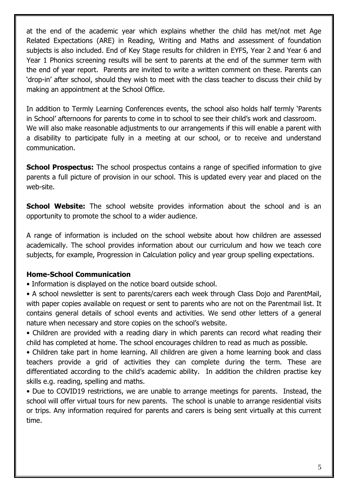at the end of the academic year which explains whether the child has met/not met Age Related Expectations (ARE) in Reading, Writing and Maths and assessment of foundation subjects is also included. End of Key Stage results for children in EYFS, Year 2 and Year 6 and Year 1 Phonics screening results will be sent to parents at the end of the summer term with the end of year report. Parents are invited to write a written comment on these. Parents can 'drop-in' after school, should they wish to meet with the class teacher to discuss their child by making an appointment at the School Office.

In addition to Termly Learning Conferences events, the school also holds half termly 'Parents in School' afternoons for parents to come in to school to see their child's work and classroom. We will also make reasonable adjustments to our arrangements if this will enable a parent with a disability to participate fully in a meeting at our school, or to receive and understand communication.

**School Prospectus:** The school prospectus contains a range of specified information to give parents a full picture of provision in our school. This is updated every year and placed on the web-site.

**School Website:** The school website provides information about the school and is an opportunity to promote the school to a wider audience.

A range of information is included on the school website about how children are assessed academically. The school provides information about our curriculum and how we teach core subjects, for example, Progression in Calculation policy and year group spelling expectations.

#### **Home-School Communication**

• Information is displayed on the notice board outside school.

• A school newsletter is sent to parents/carers each week through Class Dojo and ParentMail, with paper copies available on request or sent to parents who are not on the Parentmail list. It contains general details of school events and activities. We send other letters of a general nature when necessary and store copies on the school's website.

• Children are provided with a reading diary in which parents can record what reading their child has completed at home. The school encourages children to read as much as possible.

• Children take part in home learning. All children are given a home learning book and class teachers provide a grid of activities they can complete during the term. These are differentiated according to the child's academic ability. In addition the children practise key skills e.g. reading, spelling and maths.

• Due to COVID19 restrictions, we are unable to arrange meetings for parents. Instead, the school will offer virtual tours for new parents. The school is unable to arrange residential visits or trips. Any information required for parents and carers is being sent virtually at this current time.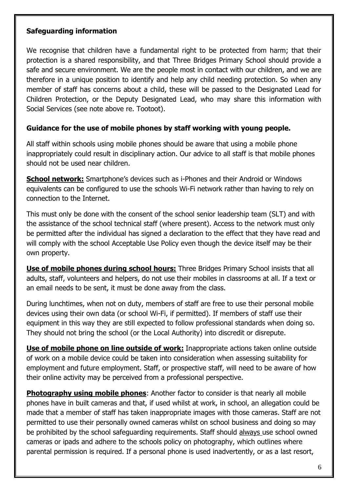#### **Safeguarding information**

We recognise that children have a fundamental right to be protected from harm; that their protection is a shared responsibility, and that Three Bridges Primary School should provide a safe and secure environment. We are the people most in contact with our children, and we are therefore in a unique position to identify and help any child needing protection. So when any member of staff has concerns about a child, these will be passed to the Designated Lead for Children Protection, or the Deputy Designated Lead, who may share this information with Social Services (see note above re. Tootoot).

#### **Guidance for the use of mobile phones by staff working with young people.**

All staff within schools using mobile phones should be aware that using a mobile phone inappropriately could result in disciplinary action. Our advice to all staff is that mobile phones should not be used near children.

**School network:** Smartphone's devices such as i-Phones and their Android or Windows equivalents can be configured to use the schools Wi-Fi network rather than having to rely on connection to the Internet.

This must only be done with the consent of the school senior leadership team (SLT) and with the assistance of the school technical staff (where present). Access to the network must only be permitted after the individual has signed a declaration to the effect that they have read and will comply with the school Acceptable Use Policy even though the device itself may be their own property.

**Use of mobile phones during school hours:** Three Bridges Primary School insists that all adults, staff, volunteers and helpers, do not use their mobiles in classrooms at all. If a text or an email needs to be sent, it must be done away from the class.

During lunchtimes, when not on duty, members of staff are free to use their personal mobile devices using their own data (or school Wi-Fi, if permitted). If members of staff use their equipment in this way they are still expected to follow professional standards when doing so. They should not bring the school (or the Local Authority) into discredit or disrepute.

**Use of mobile phone on line outside of work:** Inappropriate actions taken online outside of work on a mobile device could be taken into consideration when assessing suitability for employment and future employment. Staff, or prospective staff, will need to be aware of how their online activity may be perceived from a professional perspective.

**Photography using mobile phones:** Another factor to consider is that nearly all mobile phones have in built cameras and that, if used whilst at work, in school, an allegation could be made that a member of staff has taken inappropriate images with those cameras. Staff are not permitted to use their personally owned cameras whilst on school business and doing so may be prohibited by the school safeguarding requirements. Staff should always use school owned cameras or ipads and adhere to the schools policy on photography, which outlines where parental permission is required. If a personal phone is used inadvertently, or as a last resort,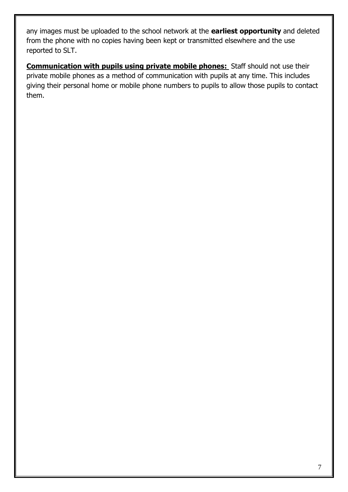any images must be uploaded to the school network at the **earliest opportunity** and deleted from the phone with no copies having been kept or transmitted elsewhere and the use reported to SLT.

**Communication with pupils using private mobile phones:** Staff should not use their private mobile phones as a method of communication with pupils at any time. This includes giving their personal home or mobile phone numbers to pupils to allow those pupils to contact them.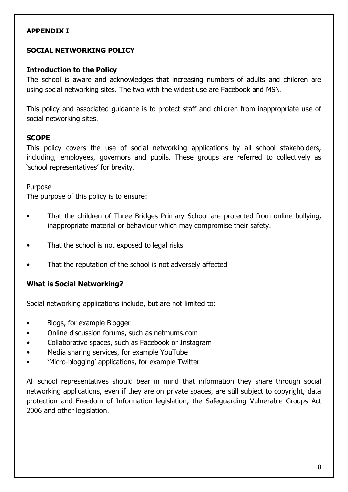## **APPENDIX I**

## **SOCIAL NETWORKING POLICY**

#### **Introduction to the Policy**

The school is aware and acknowledges that increasing numbers of adults and children are using social networking sites. The two with the widest use are Facebook and MSN.

This policy and associated guidance is to protect staff and children from inappropriate use of social networking sites.

#### **SCOPE**

This policy covers the use of social networking applications by all school stakeholders, including, employees, governors and pupils. These groups are referred to collectively as 'school representatives' for brevity.

#### Purpose

The purpose of this policy is to ensure:

- That the children of Three Bridges Primary School are protected from online bullying, inappropriate material or behaviour which may compromise their safety.
- That the school is not exposed to legal risks
- That the reputation of the school is not adversely affected

#### **What is Social Networking?**

Social networking applications include, but are not limited to:

- Blogs, for example Blogger
- Online discussion forums, such as netmums.com
- Collaborative spaces, such as Facebook or Instagram
- Media sharing services, for example YouTube
- 'Micro-blogging' applications, for example Twitter

All school representatives should bear in mind that information they share through social networking applications, even if they are on private spaces, are still subject to copyright, data protection and Freedom of Information legislation, the Safeguarding Vulnerable Groups Act 2006 and other legislation.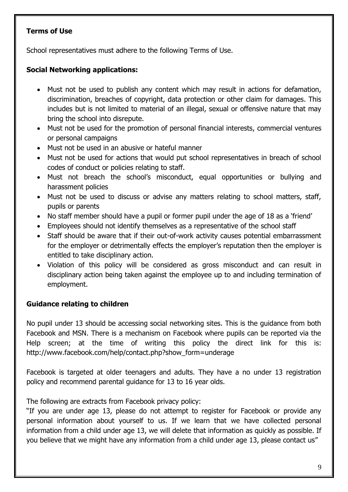# **Terms of Use**

School representatives must adhere to the following Terms of Use.

# **Social Networking applications:**

- Must not be used to publish any content which may result in actions for defamation, discrimination, breaches of copyright, data protection or other claim for damages. This includes but is not limited to material of an illegal, sexual or offensive nature that may bring the school into disrepute.
- Must not be used for the promotion of personal financial interests, commercial ventures or personal campaigns
- Must not be used in an abusive or hateful manner
- Must not be used for actions that would put school representatives in breach of school codes of conduct or policies relating to staff.
- Must not breach the school's misconduct, equal opportunities or bullying and harassment policies
- Must not be used to discuss or advise any matters relating to school matters, staff, pupils or parents
- No staff member should have a pupil or former pupil under the age of 18 as a 'friend'
- Employees should not identify themselves as a representative of the school staff
- Staff should be aware that if their out-of-work activity causes potential embarrassment for the employer or detrimentally effects the employer's reputation then the employer is entitled to take disciplinary action.
- Violation of this policy will be considered as gross misconduct and can result in disciplinary action being taken against the employee up to and including termination of employment.

# **Guidance relating to children**

No pupil under 13 should be accessing social networking sites. This is the guidance from both Facebook and MSN. There is a mechanism on Facebook where pupils can be reported via the Help screen; at the time of writing this policy the direct link for this is: http://www.facebook.com/help/contact.php?show\_form=underage

Facebook is targeted at older teenagers and adults. They have a no under 13 registration policy and recommend parental guidance for 13 to 16 year olds.

The following are extracts from Facebook privacy policy:

"If you are under age 13, please do not attempt to register for Facebook or provide any personal information about yourself to us. If we learn that we have collected personal information from a child under age 13, we will delete that information as quickly as possible. If you believe that we might have any information from a child under age 13, please contact us"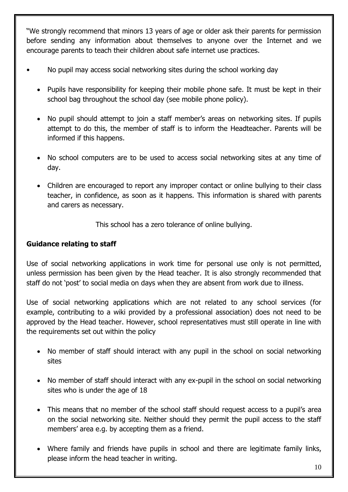"We strongly recommend that minors 13 years of age or older ask their parents for permission before sending any information about themselves to anyone over the Internet and we encourage parents to teach their children about safe internet use practices.

- No pupil may access social networking sites during the school working day
	- Pupils have responsibility for keeping their mobile phone safe. It must be kept in their school bag throughout the school day (see mobile phone policy).
	- No pupil should attempt to join a staff member's areas on networking sites. If pupils attempt to do this, the member of staff is to inform the Headteacher. Parents will be informed if this happens.
	- No school computers are to be used to access social networking sites at any time of day.
	- Children are encouraged to report any improper contact or online bullying to their class teacher, in confidence, as soon as it happens. This information is shared with parents and carers as necessary.

This school has a zero tolerance of online bullying.

## **Guidance relating to staff**

Use of social networking applications in work time for personal use only is not permitted, unless permission has been given by the Head teacher. It is also strongly recommended that staff do not 'post' to social media on days when they are absent from work due to illness.

Use of social networking applications which are not related to any school services (for example, contributing to a wiki provided by a professional association) does not need to be approved by the Head teacher. However, school representatives must still operate in line with the requirements set out within the policy

- No member of staff should interact with any pupil in the school on social networking sites
- No member of staff should interact with any ex-pupil in the school on social networking sites who is under the age of 18
- This means that no member of the school staff should request access to a pupil's area on the social networking site. Neither should they permit the pupil access to the staff members' area e.g. by accepting them as a friend.
- Where family and friends have pupils in school and there are legitimate family links, please inform the head teacher in writing.